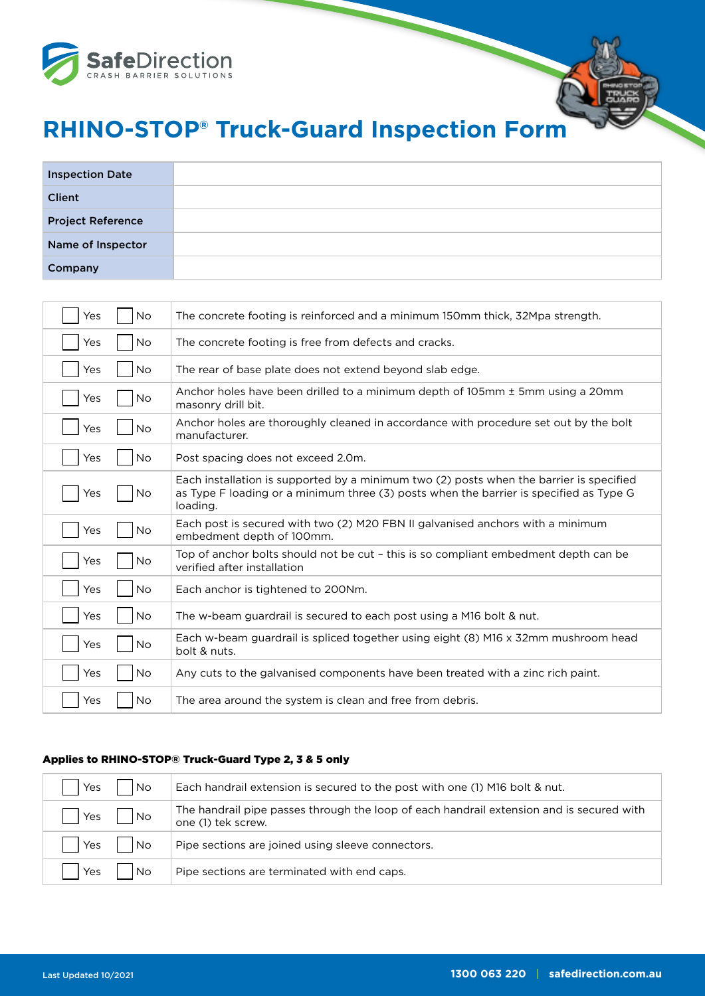

## **RHINO-STOP® Truck-Guard Inspection Form**

| <b>Inspection Date</b>   |  |
|--------------------------|--|
| <b>Client</b>            |  |
| <b>Project Reference</b> |  |
| Name of Inspector        |  |
| Company                  |  |

| <b>No</b><br>Yes | The concrete footing is reinforced and a minimum 150mm thick, 32Mpa strength.                                                                                                                 |
|------------------|-----------------------------------------------------------------------------------------------------------------------------------------------------------------------------------------------|
| <b>No</b><br>Yes | The concrete footing is free from defects and cracks.                                                                                                                                         |
| No<br>Yes        | The rear of base plate does not extend beyond slab edge.                                                                                                                                      |
| No<br>Yes        | Anchor holes have been drilled to a minimum depth of 105mm ± 5mm using a 20mm<br>masonry drill bit.                                                                                           |
| <b>No</b><br>Yes | Anchor holes are thoroughly cleaned in accordance with procedure set out by the bolt<br>manufacturer.                                                                                         |
| <b>No</b><br>Yes | Post spacing does not exceed 2.0m.                                                                                                                                                            |
| Yes<br>No        | Each installation is supported by a minimum two (2) posts when the barrier is specified<br>as Type F loading or a minimum three (3) posts when the barrier is specified as Type G<br>loading. |
| No<br>Yes        | Each post is secured with two (2) M20 FBN II galvanised anchors with a minimum<br>embedment depth of 100mm.                                                                                   |
| No.<br>Yes       | Top of anchor bolts should not be cut - this is so compliant embedment depth can be<br>verified after installation                                                                            |
| <b>No</b><br>Yes | Each anchor is tightened to 200Nm.                                                                                                                                                            |
| <b>No</b><br>Yes | The w-beam guardrail is secured to each post using a M16 bolt & nut.                                                                                                                          |
| Yes<br>No        | Each w-beam guardrail is spliced together using eight (8) M16 x 32mm mushroom head<br>bolt & nuts.                                                                                            |
| No<br>Yes        | Any cuts to the galvanised components have been treated with a zinc rich paint.                                                                                                               |
| No<br>Yes        | The area around the system is clean and free from debris.                                                                                                                                     |

### Applies to RHINO-STOP® Truck-Guard Type 2, 3 & 5 only

| l No<br>Yes      | Each handrail extension is secured to the post with one (1) M16 bolt & nut.                                    |
|------------------|----------------------------------------------------------------------------------------------------------------|
| No<br>Yes        | The handrail pipe passes through the loop of each handrail extension and is secured with<br>one (1) tek screw. |
| l No<br>Yes      | Pipe sections are joined using sleeve connectors.                                                              |
| <b>No</b><br>Yes | Pipe sections are terminated with end caps.                                                                    |